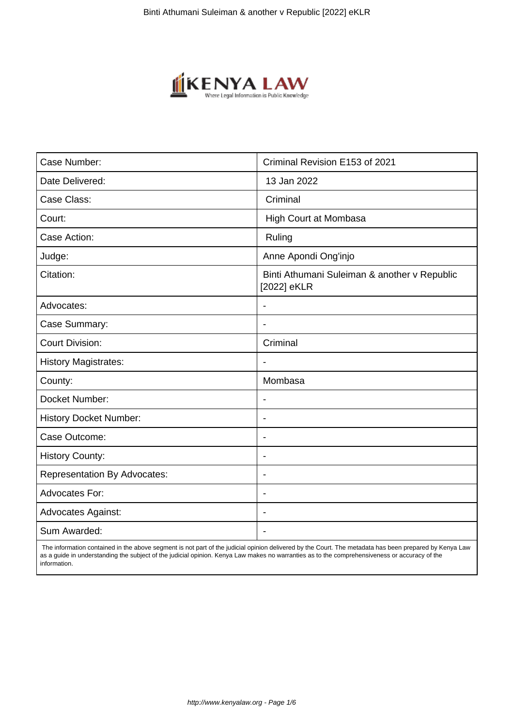

| Case Number:                        | Criminal Revision E153 of 2021                              |
|-------------------------------------|-------------------------------------------------------------|
| Date Delivered:                     | 13 Jan 2022                                                 |
| Case Class:                         | Criminal                                                    |
| Court:                              | <b>High Court at Mombasa</b>                                |
| Case Action:                        | Ruling                                                      |
| Judge:                              | Anne Apondi Ong'injo                                        |
| Citation:                           | Binti Athumani Suleiman & another v Republic<br>[2022] eKLR |
| Advocates:                          |                                                             |
| Case Summary:                       |                                                             |
| <b>Court Division:</b>              | Criminal                                                    |
| <b>History Magistrates:</b>         | $\blacksquare$                                              |
| County:                             | Mombasa                                                     |
| Docket Number:                      |                                                             |
| <b>History Docket Number:</b>       | $\overline{\phantom{a}}$                                    |
| Case Outcome:                       | $\overline{\phantom{0}}$                                    |
| <b>History County:</b>              | $\overline{\phantom{a}}$                                    |
| <b>Representation By Advocates:</b> | $\blacksquare$                                              |
| <b>Advocates For:</b>               | $\blacksquare$                                              |
| <b>Advocates Against:</b>           | $\blacksquare$                                              |
| Sum Awarded:                        |                                                             |

 The information contained in the above segment is not part of the judicial opinion delivered by the Court. The metadata has been prepared by Kenya Law as a guide in understanding the subject of the judicial opinion. Kenya Law makes no warranties as to the comprehensiveness or accuracy of the information.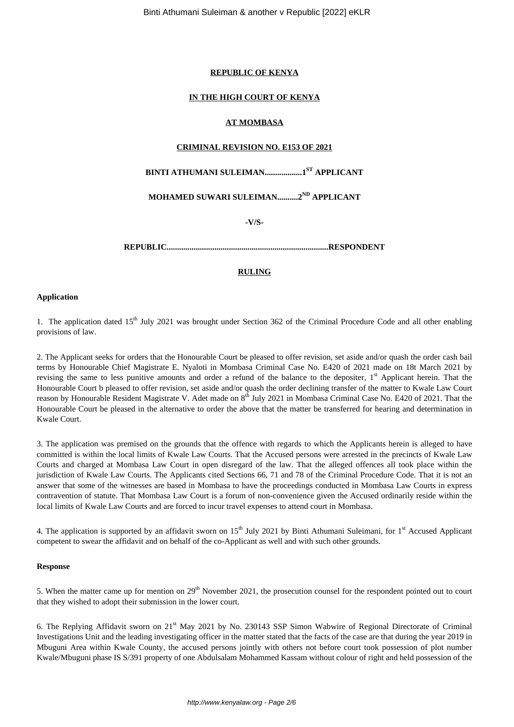## **REPUBLIC OF KENYA**

## **IN THE HIGH COURT OF KENYA**

## **AT MOMBASA**

#### **CRIMINAL REVISION NO. E153 OF 2021**

# **BINTI ATHUMANI SULEIMAN..................1ST APPLICANT**

**MOHAMED SUWARI SULEIMAN..........2ND APPLICANT**

**-V/S-**

**REPUBLIC..............................................................................RESPONDENT**

# **RULING**

#### **Application**

1. The application dated 15<sup>th</sup> July 2021 was brought under Section 362 of the Criminal Procedure Code and all other enabling provisions of law.

2. The Applicant seeks for orders that the Honourable Court be pleased to offer revision, set aside and/or quash the order cash bail terms by Honourable Chief Magistrate E. Nyaloti in Mombasa Criminal Case No. E420 of 2021 made on 18t March 2021 by revising the same to less punitive amounts and order a refund of the balance to the depositer, 1<sup>st</sup> Applicant herein. That the Honourable Court b pleased to offer revision, set aside and/or quash the order declining transfer of the matter to Kwale Law Court reason by Honourable Resident Magistrate V. Adet made on 8<sup>th</sup> July 2021 in Mombasa Criminal Case No. E420 of 2021. That the Honourable Court be pleased in the alternative to order the above that the matter be transferred for hearing and determination in Kwale Court.

3. The application was premised on the grounds that the offence with regards to which the Applicants herein is alleged to have committed is within the local limits of Kwale Law Courts. That the Accused persons were arrested in the precincts of Kwale Law Courts and charged at Mombasa Law Court in open disregard of the law. That the alleged offences all took place within the jurisdiction of Kwale Law Courts. The Applicants cited Sections 66, 71 and 78 of the Criminal Procedure Code. That it is not an answer that some of the witnesses are based in Mombasa to have the proceedings conducted in Mombasa Law Courts in express contravention of statute. That Mombasa Law Court is a forum of non-convenience given the Accused ordinarily reside within the local limits of Kwale Law Courts and are forced to incur travel expenses to attend court in Mombasa.

4. The application is supported by an affidavit sworn on  $15<sup>th</sup>$  July 2021 by Binti Athumani Suleimani, for  $1<sup>st</sup>$  Accused Applicant competent to swear the affidavit and on behalf of the co-Applicant as well and with such other grounds.

#### **Response**

5. When the matter came up for mention on  $29<sup>th</sup>$  November 2021, the prosecution counsel for the respondent pointed out to court that they wished to adopt their submission in the lower court.

6. The Replying Affidavit sworn on 21st May 2021 by No. 230143 SSP Simon Wabwire of Regional Directorate of Criminal Investigations Unit and the leading investigating officer in the matter stated that the facts of the case are that during the year 2019 in Mbuguni Area within Kwale County, the accused persons jointly with others not before court took possession of plot number Kwale/Mbuguni phase IS S/391 property of one Abdulsalam Mohammed Kassam without colour of right and held possession of the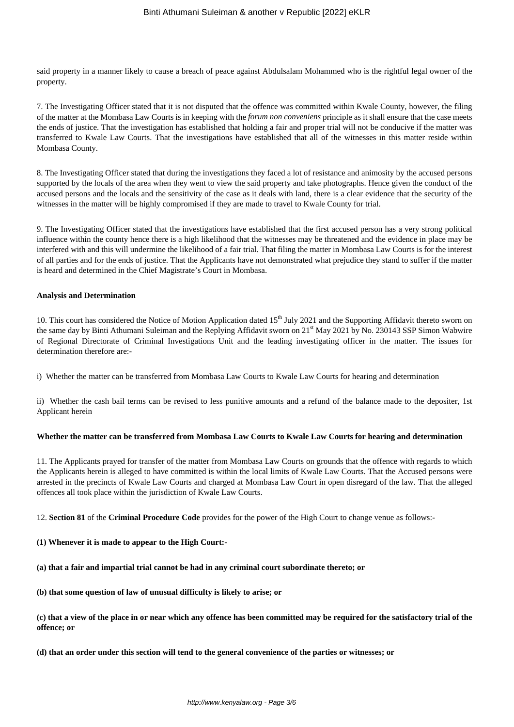said property in a manner likely to cause a breach of peace against Abdulsalam Mohammed who is the rightful legal owner of the property.

7. The Investigating Officer stated that it is not disputed that the offence was committed within Kwale County, however, the filing of the matter at the Mombasa Law Courts is in keeping with the *forum non conveniens* principle as it shall ensure that the case meets the ends of justice. That the investigation has established that holding a fair and proper trial will not be conducive if the matter was transferred to Kwale Law Courts. That the investigations have established that all of the witnesses in this matter reside within Mombasa County.

8. The Investigating Officer stated that during the investigations they faced a lot of resistance and animosity by the accused persons supported by the locals of the area when they went to view the said property and take photographs. Hence given the conduct of the accused persons and the locals and the sensitivity of the case as it deals with land, there is a clear evidence that the security of the witnesses in the matter will be highly compromised if they are made to travel to Kwale County for trial.

9. The Investigating Officer stated that the investigations have established that the first accused person has a very strong political influence within the county hence there is a high likelihood that the witnesses may be threatened and the evidence in place may be interfered with and this will undermine the likelihood of a fair trial. That filing the matter in Mombasa Law Courts is for the interest of all parties and for the ends of justice. That the Applicants have not demonstrated what prejudice they stand to suffer if the matter is heard and determined in the Chief Magistrate's Court in Mombasa.

#### **Analysis and Determination**

10. This court has considered the Notice of Motion Application dated 15<sup>th</sup> July 2021 and the Supporting Affidavit thereto sworn on the same day by Binti Athumani Suleiman and the Replying Affidavit sworn on 21<sup>st</sup> May 2021 by No. 230143 SSP Simon Wabwire of Regional Directorate of Criminal Investigations Unit and the leading investigating officer in the matter. The issues for determination therefore are:-

i) Whether the matter can be transferred from Mombasa Law Courts to Kwale Law Courts for hearing and determination

ii) Whether the cash bail terms can be revised to less punitive amounts and a refund of the balance made to the depositer, 1st Applicant herein

## **Whether the matter can be transferred from Mombasa Law Courts to Kwale Law Courts for hearing and determination**

11. The Applicants prayed for transfer of the matter from Mombasa Law Courts on grounds that the offence with regards to which the Applicants herein is alleged to have committed is within the local limits of Kwale Law Courts. That the Accused persons were arrested in the precincts of Kwale Law Courts and charged at Mombasa Law Court in open disregard of the law. That the alleged offences all took place within the jurisdiction of Kwale Law Courts.

12. **Section 81** of the **Criminal Procedure Code** provides for the power of the High Court to change venue as follows:-

**(1) Whenever it is made to appear to the High Court:-**

**(a) that a fair and impartial trial cannot be had in any criminal court subordinate thereto; or**

**(b) that some question of law of unusual difficulty is likely to arise; or**

**(c) that a view of the place in or near which any offence has been committed may be required for the satisfactory trial of the offence; or**

**(d) that an order under this section will tend to the general convenience of the parties or witnesses; or**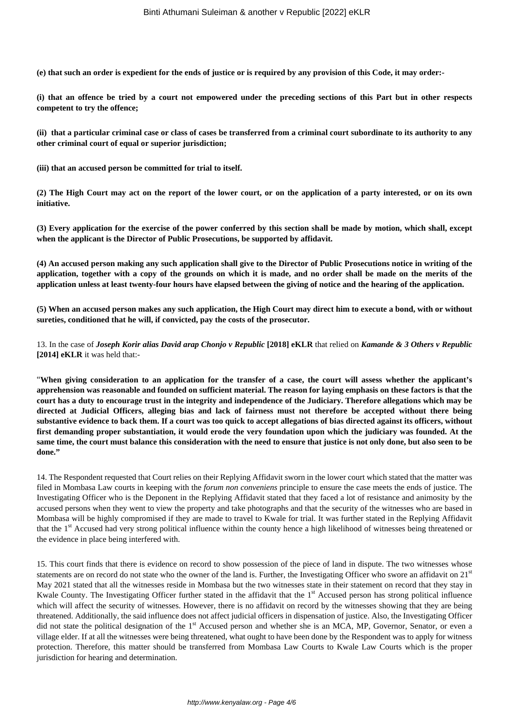**(e) that such an order is expedient for the ends of justice or is required by any provision of this Code, it may order:-**

**(i) that an offence be tried by a court not empowered under the preceding sections of this Part but in other respects competent to try the offence;**

**(ii) that a particular criminal case or class of cases be transferred from a criminal court subordinate to its authority to any other criminal court of equal or superior jurisdiction;**

**(iii) that an accused person be committed for trial to itself.**

**(2) The High Court may act on the report of the lower court, or on the application of a party interested, or on its own initiative.**

**(3) Every application for the exercise of the power conferred by this section shall be made by motion, which shall, except when the applicant is the Director of Public Prosecutions, be supported by affidavit.**

**(4) An accused person making any such application shall give to the Director of Public Prosecutions notice in writing of the application, together with a copy of the grounds on which it is made, and no order shall be made on the merits of the application unless at least twenty-four hours have elapsed between the giving of notice and the hearing of the application.**

**(5) When an accused person makes any such application, the High Court may direct him to execute a bond, with or without sureties, conditioned that he will, if convicted, pay the costs of the prosecutor.**

13. In the case of *Joseph Korir alias David arap Chonjo v Republic* **[2018] eKLR** that relied on *Kamande & 3 Others v Republic* **[2014] eKLR** it was held that:-

"**When giving consideration to an application for the transfer of a case, the court will assess whether the applicant's apprehension was reasonable and founded on sufficient material. The reason for laying emphasis on these factors is that the court has a duty to encourage trust in the integrity and independence of the Judiciary. Therefore allegations which may be directed at Judicial Officers, alleging bias and lack of fairness must not therefore be accepted without there being substantive evidence to back them. If a court was too quick to accept allegations of bias directed against its officers, without first demanding proper substantiation, it would erode the very foundation upon which the judiciary was founded. At the same time, the court must balance this consideration with the need to ensure that justice is not only done, but also seen to be done."**

14. The Respondent requested that Court relies on their Replying Affidavit sworn in the lower court which stated that the matter was filed in Mombasa Law courts in keeping with the *forum non conveniens* principle to ensure the case meets the ends of justice. The Investigating Officer who is the Deponent in the Replying Affidavit stated that they faced a lot of resistance and animosity by the accused persons when they went to view the property and take photographs and that the security of the witnesses who are based in Mombasa will be highly compromised if they are made to travel to Kwale for trial. It was further stated in the Replying Affidavit that the 1<sup>st</sup> Accused had very strong political influence within the county hence a high likelihood of witnesses being threatened or the evidence in place being interfered with.

15. This court finds that there is evidence on record to show possession of the piece of land in dispute. The two witnesses whose statements are on record do not state who the owner of the land is. Further, the Investigating Officer who swore an affidavit on 21st May 2021 stated that all the witnesses reside in Mombasa but the two witnesses state in their statement on record that they stay in Kwale County. The Investigating Officer further stated in the affidavit that the 1<sup>st</sup> Accused person has strong political influence which will affect the security of witnesses. However, there is no affidavit on record by the witnesses showing that they are being threatened. Additionally, the said influence does not affect judicial officers in dispensation of justice. Also, the Investigating Officer did not state the political designation of the 1<sup>st</sup> Accused person and whether she is an MCA, MP, Governor, Senator, or even a village elder. If at all the witnesses were being threatened, what ought to have been done by the Respondent was to apply for witness protection. Therefore, this matter should be transferred from Mombasa Law Courts to Kwale Law Courts which is the proper jurisdiction for hearing and determination.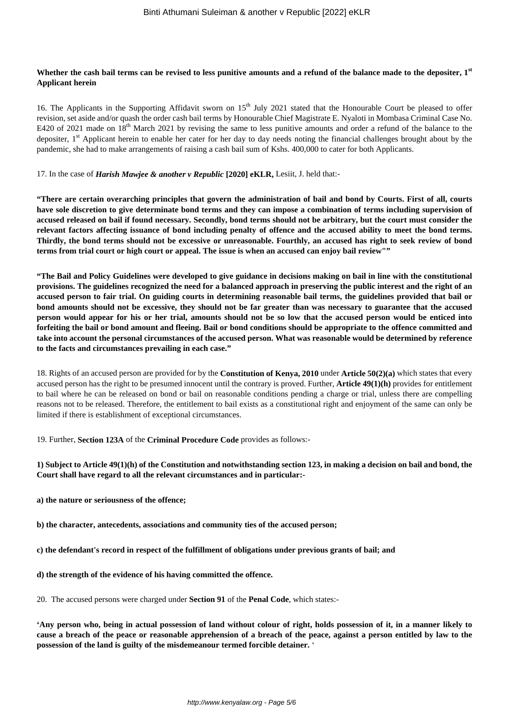# **Whether the cash bail terms can be revised to less punitive amounts and a refund of the balance made to the depositer, 1st Applicant herein**

16. The Applicants in the Supporting Affidavit sworn on 15<sup>th</sup> July 2021 stated that the Honourable Court be pleased to offer revision, set aside and/or quash the order cash bail terms by Honourable Chief Magistrate E. Nyaloti in Mombasa Criminal Case No. E420 of 2021 made on 18<sup>th</sup> March 2021 by revising the same to less punitive amounts and order a refund of the balance to the depositer, 1<sup>st</sup> Applicant herein to enable her cater for her day to day needs noting the financial challenges brought about by the pandemic, she had to make arrangements of raising a cash bail sum of Kshs. 400,000 to cater for both Applicants.

#### 17. In the case of *Harish Mawjee & another v Republic* **[2020] eKLR,** Lesiit, J. held that:-

**"There are certain overarching principles that govern the administration of bail and bond by Courts. First of all, courts have sole discretion to give determinate bond terms and they can impose a combination of terms including supervision of accused released on bail if found necessary. Secondly, bond terms should not be arbitrary, but the court must consider the relevant factors affecting issuance of bond including penalty of offence and the accused ability to meet the bond terms. Thirdly, the bond terms should not be excessive or unreasonable. Fourthly, an accused has right to seek review of bond terms from trial court or high court or appeal. The issue is when an accused can enjoy bail review""**

**"The Bail and Policy Guidelines were developed to give guidance in decisions making on bail in line with the constitutional provisions. The guidelines recognized the need for a balanced approach in preserving the public interest and the right of an accused person to fair trial. On guiding courts in determining reasonable bail terms, the guidelines provided that bail or bond amounts should not be excessive, they should not be far greater than was necessary to guarantee that the accused person would appear for his or her trial, amounts should not be so low that the accused person would be enticed into forfeiting the bail or bond amount and fleeing. Bail or bond conditions should be appropriate to the offence committed and take into account the personal circumstances of the accused person. What was reasonable would be determined by reference to the facts and circumstances prevailing in each case."**

18. Rights of an accused person are provided for by the **Constitution of Kenya, 2010** under **Article 50(2)(a)** which states that every accused person has the right to be presumed innocent until the contrary is proved. Further, **Article 49(1)(h)** provides for entitlement to bail where he can be released on bond or bail on reasonable conditions pending a charge or trial, unless there are compelling reasons not to be released. Therefore, the entitlement to bail exists as a constitutional right and enjoyment of the same can only be limited if there is establishment of exceptional circumstances.

19. Further, **Section 123A** of the **Criminal Procedure Code** provides as follows:-

## **1) Subject to Article 49(1)(h) of the Constitution and notwithstanding section 123, in making a decision on bail and bond, the Court shall have regard to all the relevant circumstances and in particular:-**

**a) the nature or seriousness of the offence;**

**b) the character, antecedents, associations and community ties of the accused person;**

**c) the defendant's record in respect of the fulfillment of obligations under previous grants of bail; and**

**d) the strength of the evidence of his having committed the offence.**

20. The accused persons were charged under **Section 91** of the **Penal Code**, which states:-

**'Any person who, being in actual possession of land without colour of right, holds possession of it, in a manner likely to cause a breach of the peace or reasonable apprehension of a breach of the peace, against a person entitled by law to the possession of the land is guilty of the misdemeanour termed forcible detainer.** '